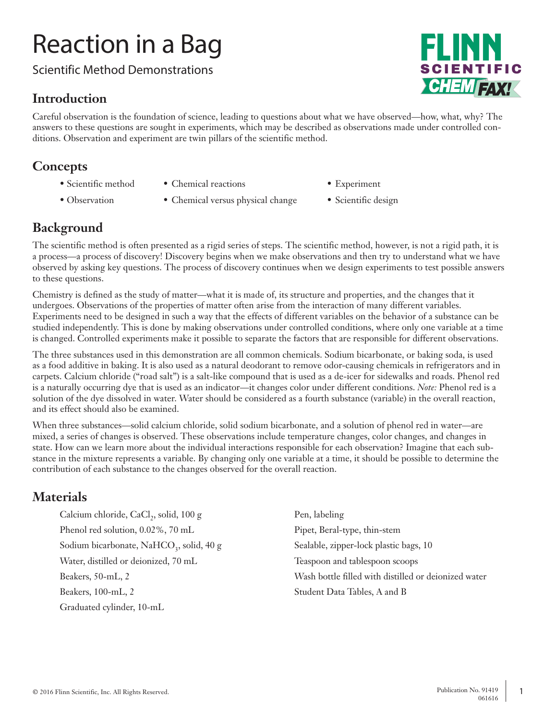# Reaction in a Bag

Scientific Method Demonstrations

### **Introduction**

**CHEMTAX!** 

Careful observation is the foundation of science, leading to questions about what we have observed—how, what, why? The answers to these questions are sought in experiments, which may be described as observations made under controlled conditions. Observation and experiment are twin pillars of the scientific method.

#### **Concepts**

- Scientific method Chemical reactions Experiment
- 
- 
- Observation Chemical versus physical change Scientific design
- -

### **Background**

The scientific method is often presented as a rigid series of steps. The scientific method, however, is not a rigid path, it is a process—a process of discovery! Discovery begins when we make observations and then try to understand what we have observed by asking key questions. The process of discovery continues when we design experiments to test possible answers to these questions.

Chemistry is defined as the study of matter—what it is made of, its structure and properties, and the changes that it undergoes. Observations of the properties of matter often arise from the interaction of many different variables. Experiments need to be designed in such a way that the effects of different variables on the behavior of a substance can be studied independently. This is done by making observations under controlled conditions, where only one variable at a time is changed. Controlled experiments make it possible to separate the factors that are responsible for different observations.

The three substances used in this demonstration are all common chemicals. Sodium bicarbonate, or baking soda, is used as a food additive in baking. It is also used as a natural deodorant to remove odor-causing chemicals in refrigerators and in carpets. Calcium chloride ("road salt") is a salt-like compound that is used as a de-icer for sidewalks and roads. Phenol red is a naturally occurring dye that is used as an indicator—it changes color under different conditions. *Note:* Phenol red is a solution of the dye dissolved in water. Water should be considered as a fourth substance (variable) in the overall reaction, and its effect should also be examined.

When three substances—solid calcium chloride, solid sodium bicarbonate, and a solution of phenol red in water—are mixed, a series of changes is observed. These observations include temperature changes, color changes, and changes in state. How can we learn more about the individual interactions responsible for each observation? Imagine that each substance in the mixture represents a variable. By changing only one variable at a time, it should be possible to determine the contribution of each substance to the changes observed for the overall reaction.

### **Materials**

Calcium chloride, CaCl<sub>2</sub>, solid, 100 g Pen, labeling Phenol red solution, 0.02%, 70 mL Pipet, Beral-type, thin-stem Sodium bicarbonate, NaHCO<sub>3</sub>, solid, 40 g Sealable, zipper-lock plastic bags, 10 Water, distilled or deionized, 70 mL Teaspoon and tablespoon scoops Beakers, 100-mL, 2 Student Data Tables, A and B Graduated cylinder, 10-mL

Beakers, 50-mL, 2 Wash bottle filled with distilled or deionized water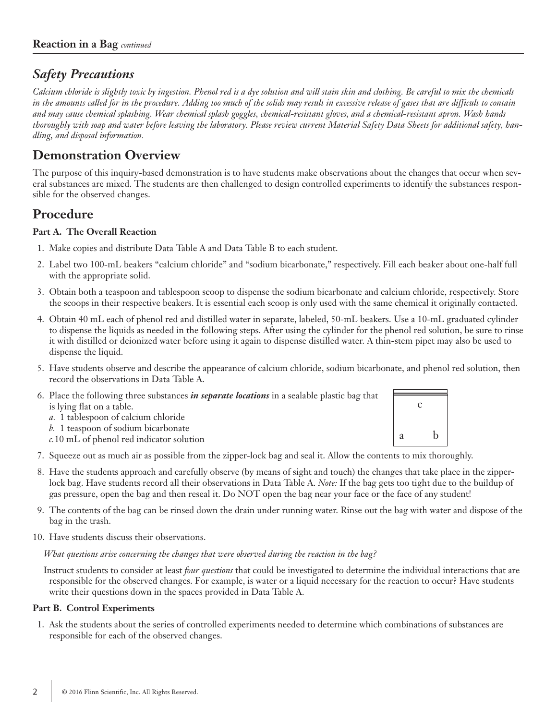### *Safety Precautions*

*Calcium chloride is slightly toxic by ingestion. Phenol red is a dye solution and will stain skin and clothing. Be careful to mix the chemicals in the amounts called for in the procedure. Adding too much of the solids may result in excessive release of gases that are difficult to contain and may cause chemical splashing. Wear chemical splash goggles, chemical-resistant gloves, and a chemical-resistant apron. Wash hands thoroughly with soap and water before leaving the laboratory. Please review current Material Safety Data Sheets for additional safety, handling, and disposal information.*

### **Demonstration Overview**

The purpose of this inquiry-based demonstration is to have students make observations about the changes that occur when several substances are mixed. The students are then challenged to design controlled experiments to identify the substances responsible for the observed changes.

### **Procedure**

#### **Part A. The Overall Reaction**

- 1. Make copies and distribute Data Table A and Data Table B to each student.
- 2. Label two 100-mL beakers "calcium chloride" and "sodium bicarbonate," respectively. Fill each beaker about one-half full with the appropriate solid.
- 3. Obtain both a teaspoon and tablespoon scoop to dispense the sodium bicarbonate and calcium chloride, respectively. Store the scoops in their respective beakers. It is essential each scoop is only used with the same chemical it originally contacted.
- 4. Obtain 40 mL each of phenol red and distilled water in separate, labeled, 50-mL beakers. Use a 10-mL graduated cylinder to dispense the liquids as needed in the following steps. After using the cylinder for the phenol red solution, be sure to rinse it with distilled or deionized water before using it again to dispense distilled water. A thin-stem pipet may also be used to dispense the liquid.
- 5. Have students observe and describe the appearance of calcium chloride, sodium bicarbonate, and phenol red solution, then record the observations in Data Table A.
- 6. Place the following three substances *in separate locations* in a sealable plastic bag that is lying flat on a table. *a.* 1 tablespoon of calcium chloride *b.* 1 teaspoon of sodium bicarbonate *c.*10 mL of phenol red indicator solution  $\mathcal{C}$ a b
- 7. Squeeze out as much air as possible from the zipper-lock bag and seal it. Allow the contents to mix thoroughly.
- 8. Have the students approach and carefully observe (by means of sight and touch) the changes that take place in the zipperlock bag. Have students record all their observations in Data Table A. *Note:* If the bag gets too tight due to the buildup of gas pressure, open the bag and then reseal it. Do NOT open the bag near your face or the face of any student!
- 9. The contents of the bag can be rinsed down the drain under running water. Rinse out the bag with water and dispose of the bag in the trash.
- 10. Have students discuss their observations.

*What questions arise concerning the changes that were observed during the reaction in the bag?*

Instruct students to consider at least *four questions* that could be investigated to determine the individual interactions that are responsible for the observed changes. For example, is water or a liquid necessary for the reaction to occur? Have students write their questions down in the spaces provided in Data Table A.

#### **Part B. Control Experiments**

1. Ask the students about the series of controlled experiments needed to determine which combinations of substances are responsible for each of the observed changes.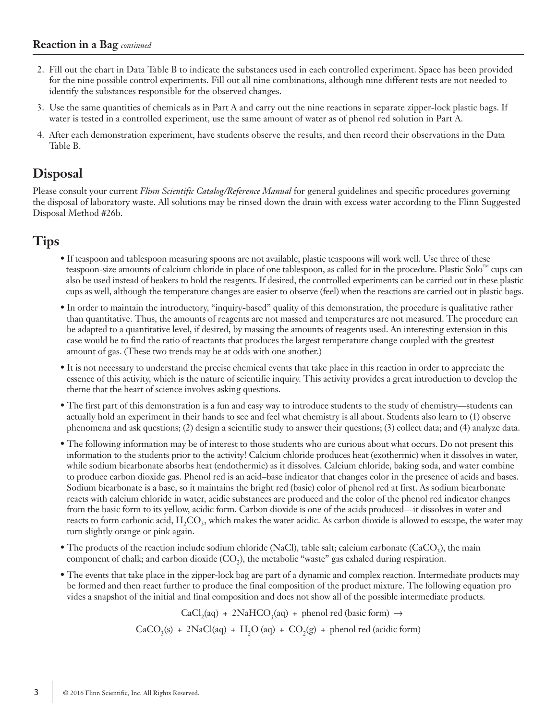#### **Reaction in a Bag** *continued*

- 2. Fill out the chart in Data Table B to indicate the substances used in each controlled experiment. Space has been provided for the nine possible control experiments. Fill out all nine combinations, although nine different tests are not needed to identify the substances responsible for the observed changes.
- 3. Use the same quantities of chemicals as in Part A and carry out the nine reactions in separate zipper-lock plastic bags. If water is tested in a controlled experiment, use the same amount of water as of phenol red solution in Part A.
- 4. After each demonstration experiment, have students observe the results, and then record their observations in the Data Table B.

#### **Disposal**

Please consult your current *Flinn Scientific Catalog/Reference Manual* for general guidelines and specific procedures governing the disposal of laboratory waste. All solutions may be rinsed down the drain with excess water according to the Flinn Suggested Disposal Method #26b.

#### **Tips**

- If teaspoon and tablespoon measuring spoons are not available, plastic teaspoons will work well. Use three of these teaspoon-size amounts of calcium chloride in place of one tablespoon, as called for in the procedure. Plastic Solo $^{\text{m}}$  cups can also be used instead of beakers to hold the reagents. If desired, the controlled experiments can be carried out in these plastic cups as well, although the temperature changes are easier to observe (feel) when the reactions are carried out in plastic bags.
- In order to maintain the introductory, "inquiry-based" quality of this demonstration, the procedure is qualitative rather than quantitative. Thus, the amounts of reagents are not massed and temperatures are not measured. The procedure can be adapted to a quantitative level, if desired, by massing the amounts of reagents used. An interesting extension in this case would be to find the ratio of reactants that produces the largest temperature change coupled with the greatest amount of gas. (These two trends may be at odds with one another.)
- It is not necessary to understand the precise chemical events that take place in this reaction in order to appreciate the essence of this activity, which is the nature of scientific inquiry. This activity provides a great introduction to develop the theme that the heart of science involves asking questions.
- The first part of this demonstration is a fun and easy way to introduce students to the study of chemistry—students can actually hold an experiment in their hands to see and feel what chemistry is all about. Students also learn to (1) observe phenomena and ask questions; (2) design a scientific study to answer their questions; (3) collect data; and (4) analyze data.
- The following information may be of interest to those students who are curious about what occurs. Do not present this information to the students prior to the activity! Calcium chloride produces heat (exothermic) when it dissolves in water, while sodium bicarbonate absorbs heat (endothermic) as it dissolves. Calcium chloride, baking soda, and water combine to produce carbon dioxide gas. Phenol red is an acid–base indicator that changes color in the presence of acids and bases. Sodium bicarbonate is a base, so it maintains the bright red (basic) color of phenol red at first. As sodium bicarbonate reacts with calcium chloride in water, acidic substances are produced and the color of the phenol red indicator changes from the basic form to its yellow, acidic form. Carbon dioxide is one of the acids produced—it dissolves in water and reacts to form carbonic acid,  $H_2CO_3$ , which makes the water acidic. As carbon dioxide is allowed to escape, the water may turn slightly orange or pink again.
- The products of the reaction include sodium chloride (NaCl), table salt; calcium carbonate (CaCO<sub>3</sub>), the main component of chalk; and carbon dioxide  $(CO<sub>2</sub>)$ , the metabolic "waste" gas exhaled during respiration.
- The events that take place in the zipper-lock bag are part of a dynamic and complex reaction. Intermediate products may be formed and then react further to produce the final composition of the product mixture. The following equation pro vides a snapshot of the initial and final composition and does not show all of the possible intermediate products.

$$
CaCl_{2}(aq) + 2NaHCO_{3}(aq) + phenol red (basic form) \rightarrow
$$
  

$$
CaCO_{3}(s) + 2NaCl(aq) + H_{2}O(aq) + CO_{2}(g) + phenol red (acidic form)
$$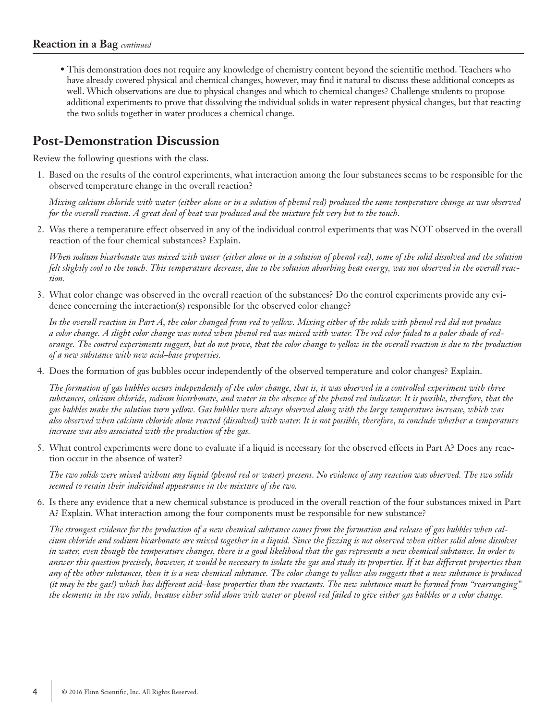• This demonstration does not require any knowledge of chemistry content beyond the scientific method. Teachers who have already covered physical and chemical changes, however, may find it natural to discuss these additional concepts as well. Which observations are due to physical changes and which to chemical changes? Challenge students to propose additional experiments to prove that dissolving the individual solids in water represent physical changes, but that reacting the two solids together in water produces a chemical change.

#### **Post-Demonstration Discussion**

Review the following questions with the class.

1. Based on the results of the control experiments, what interaction among the four substances seems to be responsible for the observed temperature change in the overall reaction?

 *Mixing calcium chloride with water (either alone or in a solution of phenol red) produced the same temperature change as was observed for the overall reaction. A great deal of heat was produced and the mixture felt very hot to the touch.*

2. Was there a temperature effect observed in any of the individual control experiments that was NOT observed in the overall reaction of the four chemical substances? Explain.

 *When sodium bicarbonate was mixed with water (either alone or in a solution of phenol red), some of the solid dissolved and the solution felt slightly cool to the touch. This temperature decrease, due to the solution absorbing heat energy, was not observed in the overall reaction.*

3. What color change was observed in the overall reaction of the substances? Do the control experiments provide any evidence concerning the interaction(s) responsible for the observed color change?

 *In the overall reaction in Part A, the color changed from red to yellow. Mixing either of the solids with phenol red did not produce a color change. A slight color change was noted when phenol red was mixed with water. The red color faded to a paler shade of redorange. The control experiments suggest, but do not prove, that the color change to yellow in the overall reaction is due to the production of a new substance with new acid–base properties.*

4. Does the formation of gas bubbles occur independently of the observed temperature and color changes? Explain.

 *The formation of gas bubbles occurs independently of the color change, that is, it was observed in a controlled experiment with three substances, calcium chloride, sodium bicarbonate, and water in the absence of the phenol red indicator. It is possible, therefore, that the gas bubbles make the solution turn yellow. Gas bubbles were always observed along with the large temperature increase, which was also observed when calcium chloride alone reacted (dissolved) with water. It is not possible, therefore, to conclude whether a temperature increase was also associated with the production of the gas.*

5. What control experiments were done to evaluate if a liquid is necessary for the observed effects in Part A? Does any reaction occur in the absence of water?

 *The two solids were mixed without any liquid (phenol red or water) present. No evidence of any reaction was observed. The two solids seemed to retain their individual appearance in the mixture of the two.*

6. Is there any evidence that a new chemical substance is produced in the overall reaction of the four substances mixed in Part A? Explain. What interaction among the four components must be responsible for new substance?

 *The strongest evidence for the production of a new chemical substance comes from the formation and release of gas bubbles when calcium chloride and sodium bicarbonate are mixed together in a liquid. Since the fizzing is not observed when either solid alone dissolves in water, even though the temperature changes, there is a good likelihood that the gas represents a new chemical substance. In order to answer this question precisely, however, it would be necessary to isolate the gas and study its properties. If it has different properties than any of the other substances, then it is a new chemical substance. The color change to yellow also suggests that a new substance is produced (it may be the gas!) which has different acid–base properties than the reactants. The new substance must be formed from "rearranging" the elements in the two solids, because either solid alone with water or phenol red failed to give either gas bubbles or a color change.*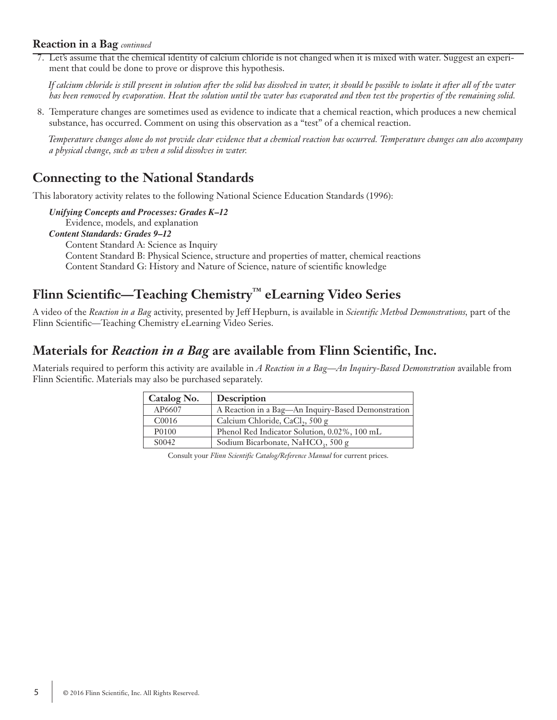#### **Reaction in a Bag** *continued*

7. Let's assume that the chemical identity of calcium chloride is not changed when it is mixed with water. Suggest an experiment that could be done to prove or disprove this hypothesis.

 *If calcium chloride is still present in solution after the solid has dissolved in water, it should be possible to isolate it after all of the water has been removed by evaporation. Heat the solution until the water has evaporated and then test the properties of the remaining solid.*

8. Temperature changes are sometimes used as evidence to indicate that a chemical reaction, which produces a new chemical substance, has occurred. Comment on using this observation as a "test" of a chemical reaction.

 *Temperature changes alone do not provide clear evidence that a chemical reaction has occurred. Temperature changes can also accompany a physical change, such as when a solid dissolves in water.*

#### **Connecting to the National Standards**

This laboratory activity relates to the following National Science Education Standards (1996):

*Unifying Concepts and Processes: Grades K–12* Evidence, models, and explanation *Content Standards: Grades 9–12* Content Standard A: Science as Inquiry Content Standard B: Physical Science, structure and properties of matter, chemical reactions Content Standard G: History and Nature of Science, nature of scientific knowledge

### **Flinn Scientific—Teaching Chemistry™ eLearning Video Series**

A video of the *Reaction in a Bag* activity, presented by Jeff Hepburn, is available in *Scientific Method Demonstrations,* part of the Flinn Scientific—Teaching Chemistry eLearning Video Series.

#### **Materials for** *Reaction in a Bag* **are available from Flinn Scientific, Inc.**

Materials required to perform this activity are available in *A Reaction in a Bag—An Inquiry-Based Demonstration* available from Flinn Scientific. Materials may also be purchased separately.

| <b>Catalog No.</b> | <b>Description</b>                                 |
|--------------------|----------------------------------------------------|
| AP6607             | A Reaction in a Bag-An Inquiry-Based Demonstration |
| C <sub>0016</sub>  | Calcium Chloride, CaCl <sub>2</sub> , 500 g        |
| P0100              | Phenol Red Indicator Solution, 0.02%, 100 mL       |
| S0042              | Sodium Bicarbonate, NaHCO <sub>3</sub> , 500 g     |

Consult your *Flinn Scientific Catalog/Reference Manual* for current prices.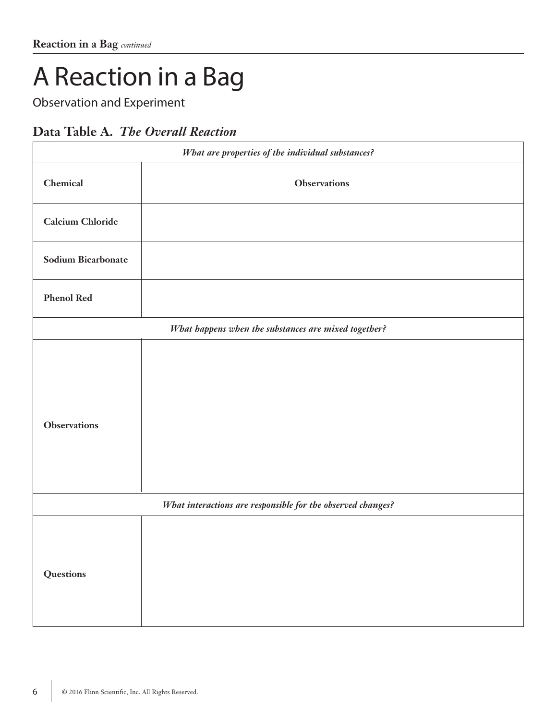# A Reaction in a Bag

Observation and Experiment

## **Data Table A.** *The Overall Reaction*

| What are properties of the individual substances?           |                                                      |  |  |  |  |
|-------------------------------------------------------------|------------------------------------------------------|--|--|--|--|
| Chemical                                                    | <b>Observations</b>                                  |  |  |  |  |
| <b>Calcium Chloride</b>                                     |                                                      |  |  |  |  |
| <b>Sodium Bicarbonate</b>                                   |                                                      |  |  |  |  |
| <b>Phenol Red</b>                                           |                                                      |  |  |  |  |
|                                                             | What happens when the substances are mixed together? |  |  |  |  |
| <b>Observations</b>                                         |                                                      |  |  |  |  |
| What interactions are responsible for the observed changes? |                                                      |  |  |  |  |
| Questions                                                   |                                                      |  |  |  |  |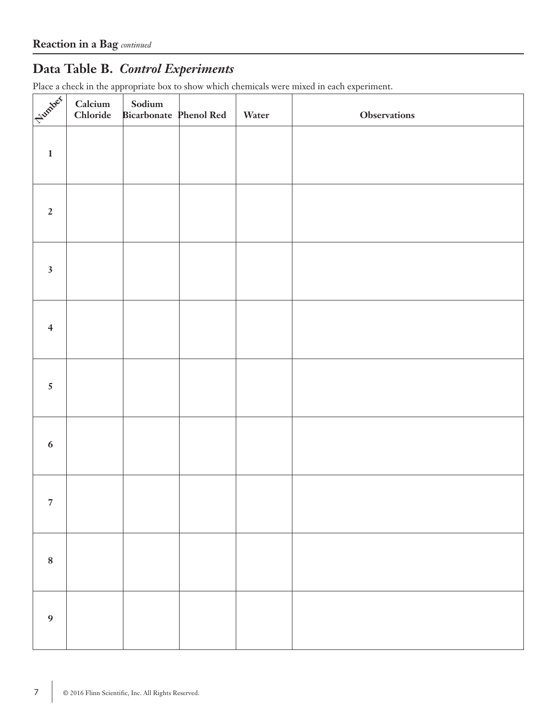## **Data Table B.** *Control Experiments*

Place a check in the appropriate box to show which chemicals were mixed in each experiment.

| Fundock                 | Calcium<br>Chloride | $\begin{minipage}{.4\linewidth} \textbf{Sodium} \end{minipage} \vspace{-0.3cm}$<br><b>Bicarbonate</b> Phenol Red | Water | <b>Observations</b> |
|-------------------------|---------------------|------------------------------------------------------------------------------------------------------------------|-------|---------------------|
| $\mathbf{1}$            |                     |                                                                                                                  |       |                     |
| $\overline{2}$          |                     |                                                                                                                  |       |                     |
| $\overline{\mathbf{3}}$ |                     |                                                                                                                  |       |                     |
| $\overline{4}$          |                     |                                                                                                                  |       |                     |
| $5\phantom{.0}$         |                     |                                                                                                                  |       |                     |
| 6                       |                     |                                                                                                                  |       |                     |
| $\overline{7}$          |                     |                                                                                                                  |       |                     |
| $\bf 8$                 |                     |                                                                                                                  |       |                     |
| $\boldsymbol{9}$        |                     |                                                                                                                  |       |                     |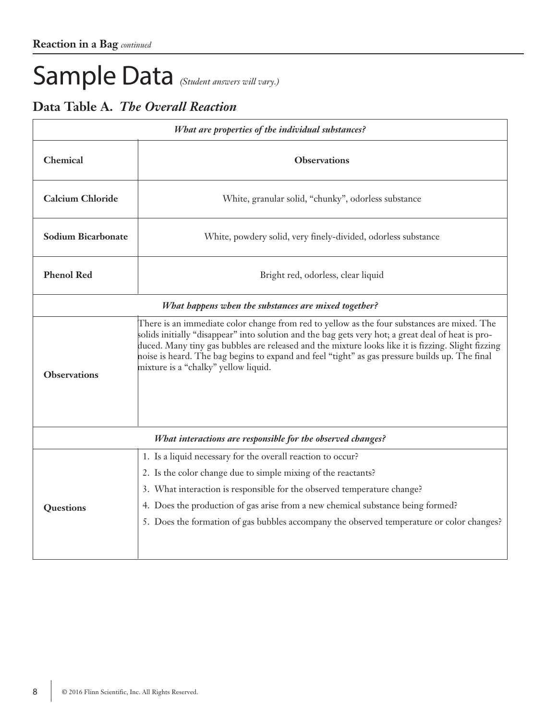# Sample Data *(Student answers will vary.)*

## **Data Table A.** *The Overall Reaction*

| What are properties of the individual substances?    |                                                                                                                                                                                                                                                                                                                                                                                                                                                   |  |  |  |  |  |  |
|------------------------------------------------------|---------------------------------------------------------------------------------------------------------------------------------------------------------------------------------------------------------------------------------------------------------------------------------------------------------------------------------------------------------------------------------------------------------------------------------------------------|--|--|--|--|--|--|
| Chemical                                             | <b>Observations</b>                                                                                                                                                                                                                                                                                                                                                                                                                               |  |  |  |  |  |  |
| <b>Calcium Chloride</b>                              | White, granular solid, "chunky", odorless substance                                                                                                                                                                                                                                                                                                                                                                                               |  |  |  |  |  |  |
| <b>Sodium Bicarbonate</b>                            | White, powdery solid, very finely-divided, odorless substance                                                                                                                                                                                                                                                                                                                                                                                     |  |  |  |  |  |  |
| <b>Phenol Red</b>                                    | Bright red, odorless, clear liquid                                                                                                                                                                                                                                                                                                                                                                                                                |  |  |  |  |  |  |
| What happens when the substances are mixed together? |                                                                                                                                                                                                                                                                                                                                                                                                                                                   |  |  |  |  |  |  |
| <b>Observations</b>                                  | There is an immediate color change from red to yellow as the four substances are mixed. The<br>solids initially "disappear" into solution and the bag gets very hot; a great deal of heat is pro-<br>duced. Many tiny gas bubbles are released and the mixture looks like it is fizzing. Slight fizzing<br>noise is heard. The bag begins to expand and feel "tight" as gas pressure builds up. The final<br>mixture is a "chalky" yellow liquid. |  |  |  |  |  |  |
|                                                      | What interactions are responsible for the observed changes?                                                                                                                                                                                                                                                                                                                                                                                       |  |  |  |  |  |  |
|                                                      | 1. Is a liquid necessary for the overall reaction to occur?                                                                                                                                                                                                                                                                                                                                                                                       |  |  |  |  |  |  |
|                                                      | 2. Is the color change due to simple mixing of the reactants?                                                                                                                                                                                                                                                                                                                                                                                     |  |  |  |  |  |  |
|                                                      | 3. What interaction is responsible for the observed temperature change?                                                                                                                                                                                                                                                                                                                                                                           |  |  |  |  |  |  |
| Questions                                            | 4. Does the production of gas arise from a new chemical substance being formed?                                                                                                                                                                                                                                                                                                                                                                   |  |  |  |  |  |  |
|                                                      | 5. Does the formation of gas bubbles accompany the observed temperature or color changes?                                                                                                                                                                                                                                                                                                                                                         |  |  |  |  |  |  |